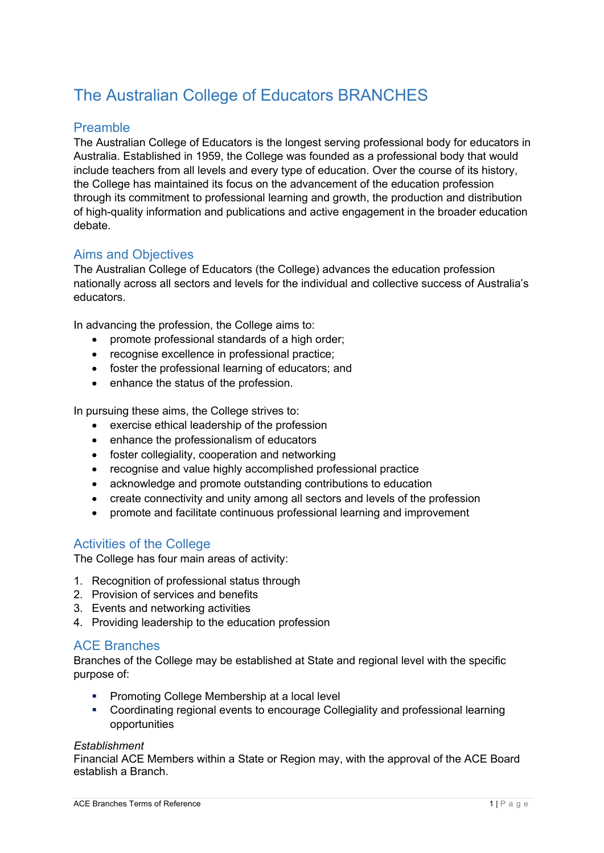# The Australian College of Educators BRANCHES

# Preamble

The Australian College of Educators is the longest serving professional body for educators in Australia. Established in 1959, the College was founded as a professional body that would include teachers from all levels and every type of education. Over the course of its history, the College has maintained its focus on the advancement of the education profession through its commitment to professional learning and growth, the production and distribution of high-quality information and publications and active engagement in the broader education debate.

# Aims and Objectives

The Australian College of Educators (the College) advances the education profession nationally across all sectors and levels for the individual and collective success of Australia's educators.

In advancing the profession, the College aims to:

- promote professional standards of a high order;
- recognise excellence in professional practice;
- foster the professional learning of educators; and
- enhance the status of the profession.

In pursuing these aims, the College strives to:

- exercise ethical leadership of the profession
- enhance the professionalism of educators
- foster collegiality, cooperation and networking
- recognise and value highly accomplished professional practice
- acknowledge and promote outstanding contributions to education
- create connectivity and unity among all sectors and levels of the profession
- promote and facilitate continuous professional learning and improvement

# Activities of the College

The College has four main areas of activity:

- 1. Recognition of professional status through
- 2. Provision of services and benefits
- 3. Events and networking activities
- 4. Providing leadership to the education profession

# ACE Branches

Branches of the College may be established at State and regional level with the specific purpose of:

- Promoting College Membership at a local level
- § Coordinating regional events to encourage Collegiality and professional learning opportunities

#### *Establishment*

Financial ACE Members within a State or Region may, with the approval of the ACE Board establish a Branch.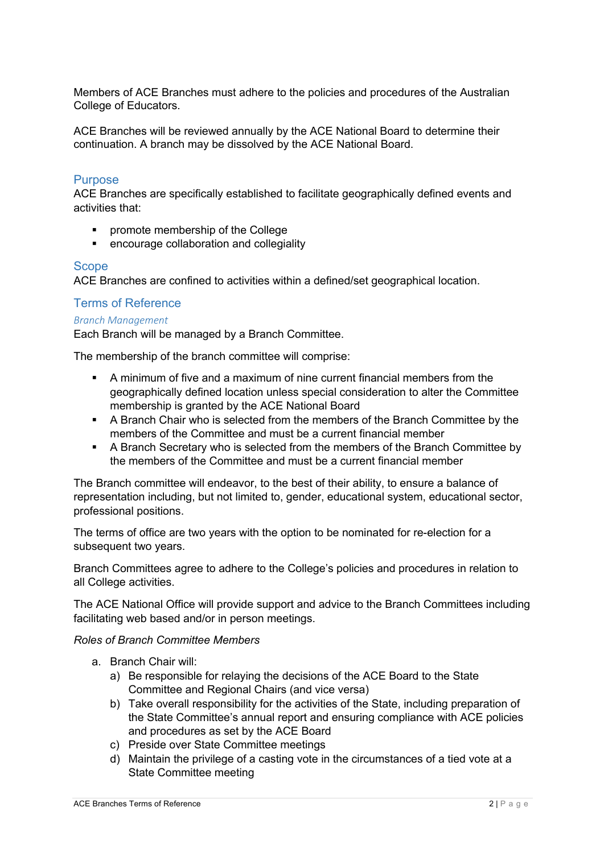Members of ACE Branches must adhere to the policies and procedures of the Australian College of Educators.

ACE Branches will be reviewed annually by the ACE National Board to determine their continuation. A branch may be dissolved by the ACE National Board.

# **Purpose**

ACE Branches are specifically established to facilitate geographically defined events and activities that:

- § promote membership of the College
- **•** encourage collaboration and collegiality

# **Scope**

ACE Branches are confined to activities within a defined/set geographical location.

# Terms of Reference

#### *Branch Management*

Each Branch will be managed by a Branch Committee.

The membership of the branch committee will comprise:

- § A minimum of five and a maximum of nine current financial members from the geographically defined location unless special consideration to alter the Committee membership is granted by the ACE National Board
- § A Branch Chair who is selected from the members of the Branch Committee by the members of the Committee and must be a current financial member
- A Branch Secretary who is selected from the members of the Branch Committee by the members of the Committee and must be a current financial member

The Branch committee will endeavor, to the best of their ability, to ensure a balance of representation including, but not limited to, gender, educational system, educational sector, professional positions.

The terms of office are two years with the option to be nominated for re-election for a subsequent two years.

Branch Committees agree to adhere to the College's policies and procedures in relation to all College activities.

The ACE National Office will provide support and advice to the Branch Committees including facilitating web based and/or in person meetings.

#### *Roles of Branch Committee Members*

- a. Branch Chair will:
	- a) Be responsible for relaying the decisions of the ACE Board to the State Committee and Regional Chairs (and vice versa)
	- b) Take overall responsibility for the activities of the State, including preparation of the State Committee's annual report and ensuring compliance with ACE policies and procedures as set by the ACE Board
	- c) Preside over State Committee meetings
	- d) Maintain the privilege of a casting vote in the circumstances of a tied vote at a State Committee meeting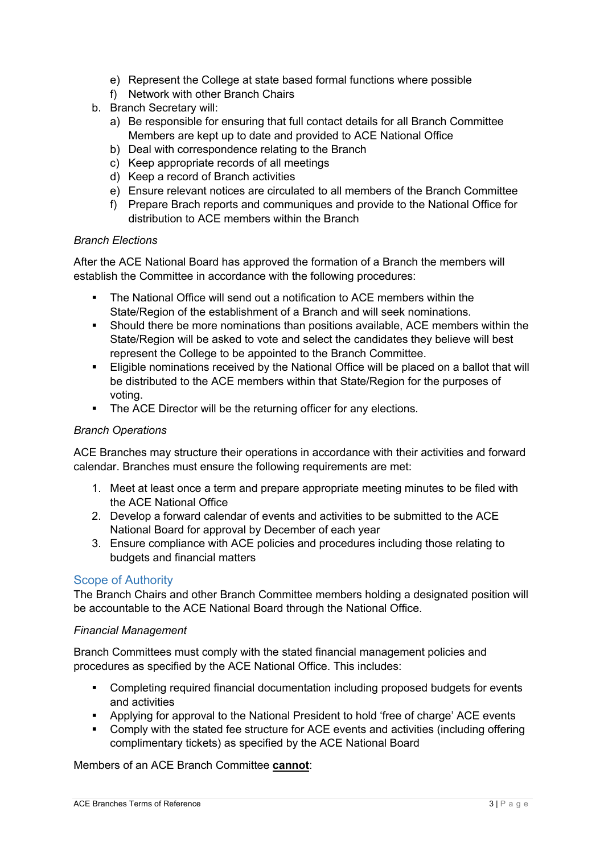- e) Represent the College at state based formal functions where possible
- f) Network with other Branch Chairs
- b. Branch Secretary will:
	- a) Be responsible for ensuring that full contact details for all Branch Committee Members are kept up to date and provided to ACE National Office
	- b) Deal with correspondence relating to the Branch
	- c) Keep appropriate records of all meetings
	- d) Keep a record of Branch activities
	- e) Ensure relevant notices are circulated to all members of the Branch Committee
	- f) Prepare Brach reports and communiques and provide to the National Office for distribution to ACE members within the Branch

# *Branch Elections*

After the ACE National Board has approved the formation of a Branch the members will establish the Committee in accordance with the following procedures:

- § The National Office will send out a notification to ACE members within the State/Region of the establishment of a Branch and will seek nominations.
- § Should there be more nominations than positions available, ACE members within the State/Region will be asked to vote and select the candidates they believe will best represent the College to be appointed to the Branch Committee.
- § Eligible nominations received by the National Office will be placed on a ballot that will be distributed to the ACE members within that State/Region for the purposes of voting.
- The ACE Director will be the returning officer for any elections.

### *Branch Operations*

ACE Branches may structure their operations in accordance with their activities and forward calendar. Branches must ensure the following requirements are met:

- 1. Meet at least once a term and prepare appropriate meeting minutes to be filed with the ACE National Office
- 2. Develop a forward calendar of events and activities to be submitted to the ACE National Board for approval by December of each year
- 3. Ensure compliance with ACE policies and procedures including those relating to budgets and financial matters

# Scope of Authority

The Branch Chairs and other Branch Committee members holding a designated position will be accountable to the ACE National Board through the National Office.

#### *Financial Management*

Branch Committees must comply with the stated financial management policies and procedures as specified by the ACE National Office. This includes:

- § Completing required financial documentation including proposed budgets for events and activities
- Applying for approval to the National President to hold 'free of charge' ACE events
- Comply with the stated fee structure for ACE events and activities (including offering complimentary tickets) as specified by the ACE National Board

# Members of an ACE Branch Committee **cannot**: